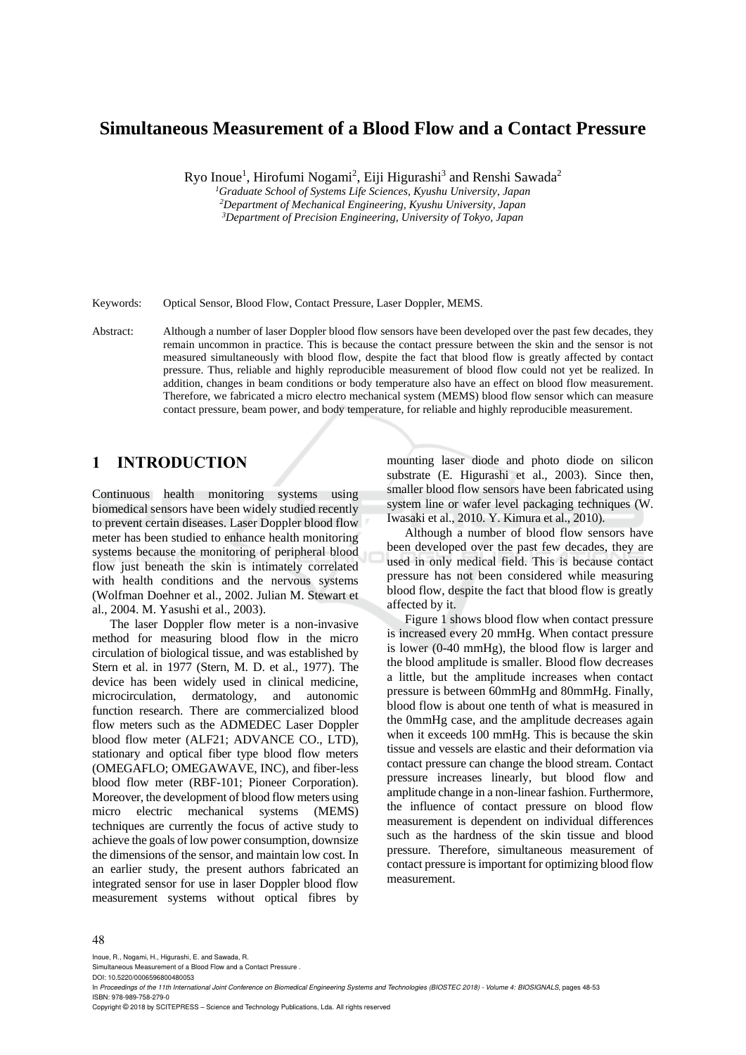# **Simultaneous Measurement of a Blood Flow and a Contact Pressure**

Ryo Inoue<sup>1</sup>, Hirofumi Nogami<sup>2</sup>, Eiji Higurashi<sup>3</sup> and Renshi Sawada<sup>2</sup>

*<sup>1</sup>Graduate School of Systems Life Sciences, Kyushu University, Japan <sup>2</sup>Department of Mechanical Engineering, Kyushu University, Japan <sup>3</sup>Department of Precision Engineering, University of Tokyo, Japan*

Keywords: Optical Sensor, Blood Flow, Contact Pressure, Laser Doppler, MEMS.

Abstract: Although a number of laser Doppler blood flow sensors have been developed over the past few decades, they remain uncommon in practice. This is because the contact pressure between the skin and the sensor is not measured simultaneously with blood flow, despite the fact that blood flow is greatly affected by contact pressure. Thus, reliable and highly reproducible measurement of blood flow could not yet be realized. In addition, changes in beam conditions or body temperature also have an effect on blood flow measurement. Therefore, we fabricated a micro electro mechanical system (MEMS) blood flow sensor which can measure contact pressure, beam power, and body temperature, for reliable and highly reproducible measurement.

# **1 INTRODUCTION**

Continuous health monitoring systems using biomedical sensors have been widely studied recently to prevent certain diseases. Laser Doppler blood flow meter has been studied to enhance health monitoring systems because the monitoring of peripheral blood flow just beneath the skin is intimately correlated with health conditions and the nervous systems (Wolfman Doehner et al., 2002. Julian M. Stewart et al., 2004. M. Yasushi et al., 2003).

The laser Doppler flow meter is a non-invasive method for measuring blood flow in the micro circulation of biological tissue, and was established by Stern et al. in 1977 (Stern, M. D. et al., 1977). The device has been widely used in clinical medicine, microcirculation, dermatology, and autonomic function research. There are commercialized blood flow meters such as the ADMEDEC Laser Doppler blood flow meter (ALF21; ADVANCE CO., LTD), stationary and optical fiber type blood flow meters (OMEGAFLO; OMEGAWAVE, INC), and fiber-less blood flow meter (RBF-101; Pioneer Corporation). Moreover, the development of blood flow meters using micro electric mechanical systems (MEMS) techniques are currently the focus of active study to achieve the goals of low power consumption, downsize the dimensions of the sensor, and maintain low cost. In an earlier study, the present authors fabricated an integrated sensor for use in laser Doppler blood flow measurement systems without optical fibres by

mounting laser diode and photo diode on silicon substrate (E. Higurashi et al., 2003). Since then, smaller blood flow sensors have been fabricated using system line or wafer level packaging techniques (W. Iwasaki et al., 2010. Y. Kimura et al., 2010).

Although a number of blood flow sensors have been developed over the past few decades, they are used in only medical field. This is because contact pressure has not been considered while measuring blood flow, despite the fact that blood flow is greatly affected by it.

Figure 1 shows blood flow when contact pressure is increased every 20 mmHg. When contact pressure is lower (0-40 mmHg), the blood flow is larger and the blood amplitude is smaller. Blood flow decreases a little, but the amplitude increases when contact pressure is between 60mmHg and 80mmHg. Finally, blood flow is about one tenth of what is measured in the 0mmHg case, and the amplitude decreases again when it exceeds 100 mmHg. This is because the skin tissue and vessels are elastic and their deformation via contact pressure can change the blood stream. Contact pressure increases linearly, but blood flow and amplitude change in a non-linear fashion. Furthermore, the influence of contact pressure on blood flow measurement is dependent on individual differences such as the hardness of the skin tissue and blood pressure. Therefore, simultaneous measurement of contact pressure is important for optimizing blood flow measurement.

#### 48

Inoue, R., Nogami, H., Higurashi, E. and Sawada, R.

DOI: 10.5220/0006596800480053

In *Proceedings of the 11th International Joint Conference on Biomedical Engineering Systems and Technologies (BIOSTEC 2018) - Volume 4: BIOSIGNALS*, pages 48-53 ISBN: 978-989-758-279-0

Copyright © 2018 by SCITEPRESS – Science and Technology Publications, Lda. All rights reserved

Simultaneous Measurement of a Blood Flow and a Contact Pressure .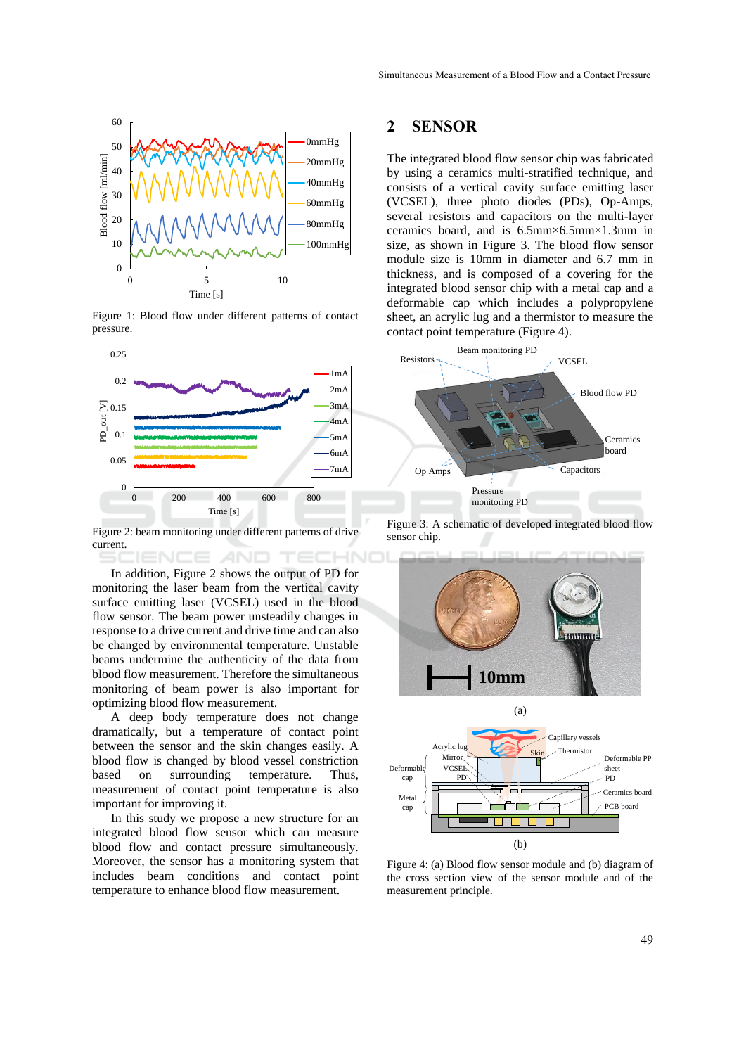

Figure 1: Blood flow under different patterns of contact pressure.



Figure 2: beam monitoring under different patterns of drive current. **ENCE AND** 

In addition, Figure 2 shows the output of PD for monitoring the laser beam from the vertical cavity surface emitting laser (VCSEL) used in the blood flow sensor. The beam power unsteadily changes in response to a drive current and drive time and can also be changed by environmental temperature. Unstable beams undermine the authenticity of the data from blood flow measurement. Therefore the simultaneous monitoring of beam power is also important for optimizing blood flow measurement.

A deep body temperature does not change dramatically, but a temperature of contact point between the sensor and the skin changes easily. A blood flow is changed by blood vessel constriction based on surrounding temperature. Thus, measurement of contact point temperature is also important for improving it.

In this study we propose a new structure for an integrated blood flow sensor which can measure blood flow and contact pressure simultaneously. Moreover, the sensor has a monitoring system that includes beam conditions and contact point temperature to enhance blood flow measurement.

### **2 SENSOR**

The integrated blood flow sensor chip was fabricated by using a ceramics multi-stratified technique, and consists of a vertical cavity surface emitting laser (VCSEL), three photo diodes (PDs), Op-Amps, several resistors and capacitors on the multi-layer ceramics board, and is 6.5mm×6.5mm×1.3mm in size, as shown in Figure 3. The blood flow sensor module size is 10mm in diameter and 6.7 mm in thickness, and is composed of a covering for the integrated blood sensor chip with a metal cap and a deformable cap which includes a polypropylene sheet, an acrylic lug and a thermistor to measure the contact point temperature (Figure 4).



Figure 3: A schematic of developed integrated blood flow sensor chip.



Figure 4: (a) Blood flow sensor module and (b) diagram of the cross section view of the sensor module and of the measurement principle.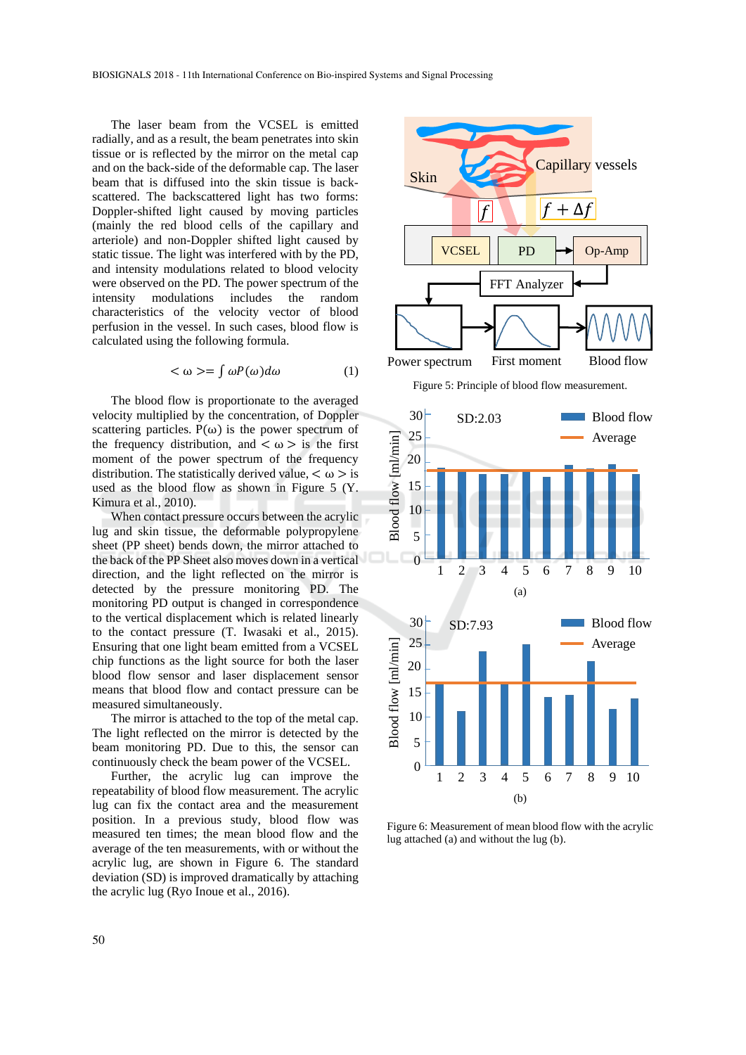The laser beam from the VCSEL is emitted radially, and as a result, the beam penetrates into skin tissue or is reflected by the mirror on the metal cap and on the back-side of the deformable cap. The laser beam that is diffused into the skin tissue is backscattered. The backscattered light has two forms: Doppler-shifted light caused by moving particles (mainly the red blood cells of the capillary and arteriole) and non-Doppler shifted light caused by static tissue. The light was interfered with by the PD, and intensity modulations related to blood velocity were observed on the PD. The power spectrum of the intensity modulations includes the random characteristics of the velocity vector of blood perfusion in the vessel. In such cases, blood flow is calculated using the following formula.

$$
\langle \omega \rangle = \int \omega P(\omega) d\omega \tag{1}
$$

The blood flow is proportionate to the averaged velocity multiplied by the concentration, of Doppler scattering particles.  $P(\omega)$  is the power spectrum of the frequency distribution, and  $\langle \omega \rangle$  is the first moment of the power spectrum of the frequency distribution. The statistically derived value,  $\lt \omega > i$ s used as the blood flow as shown in Figure 5 (Y. Kimura et al., 2010).

When contact pressure occurs between the acrylic lug and skin tissue, the deformable polypropylene sheet (PP sheet) bends down, the mirror attached to the back of the PP Sheet also moves down in a vertical direction, and the light reflected on the mirror is detected by the pressure monitoring PD. The monitoring PD output is changed in correspondence to the vertical displacement which is related linearly to the contact pressure (T. Iwasaki et al., 2015). Ensuring that one light beam emitted from a VCSEL chip functions as the light source for both the laser blood flow sensor and laser displacement sensor means that blood flow and contact pressure can be measured simultaneously.

The mirror is attached to the top of the metal cap. The light reflected on the mirror is detected by the beam monitoring PD. Due to this, the sensor can continuously check the beam power of the VCSEL.

Further, the acrylic lug can improve the repeatability of blood flow measurement. The acrylic lug can fix the contact area and the measurement position. In a previous study, blood flow was measured ten times; the mean blood flow and the average of the ten measurements, with or without the acrylic lug, are shown in Figure 6. The standard deviation (SD) is improved dramatically by attaching the acrylic lug (Ryo Inoue et al., 2016).



Figure 5: Principle of blood flow measurement.



Figure 6: Measurement of mean blood flow with the acrylic lug attached (a) and without the lug (b).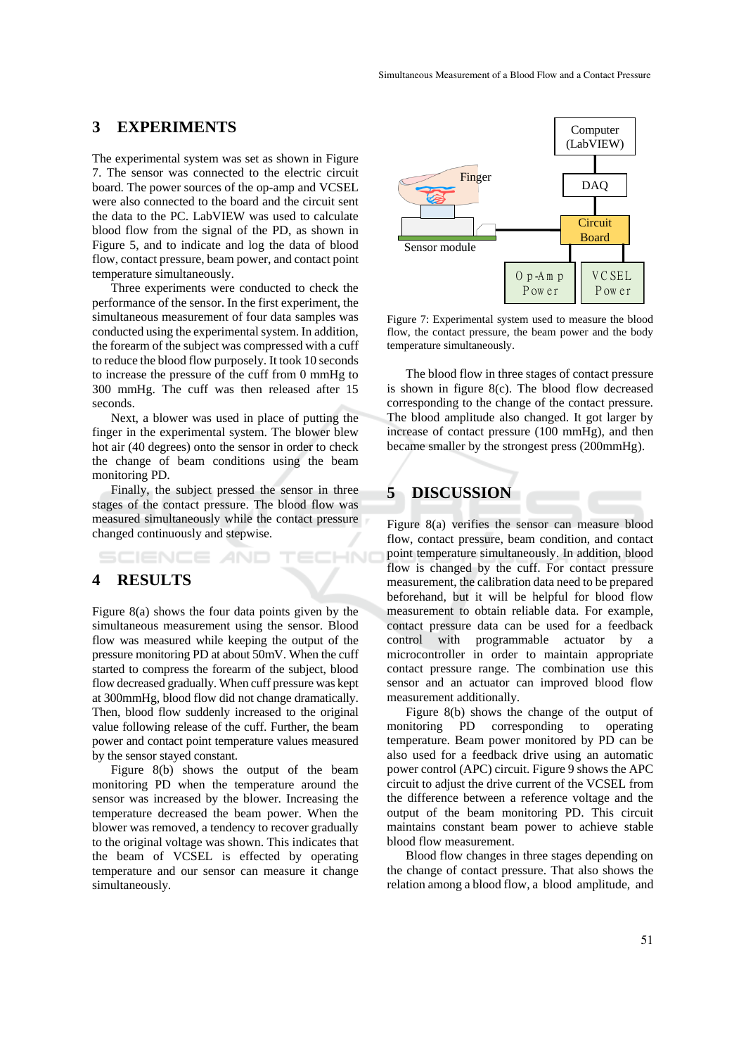# **3 EXPERIMENTS**

The experimental system was set as shown in Figure 7. The sensor was connected to the electric circuit board. The power sources of the op-amp and VCSEL were also connected to the board and the circuit sent the data to the PC. LabVIEW was used to calculate blood flow from the signal of the PD, as shown in Figure 5, and to indicate and log the data of blood flow, contact pressure, beam power, and contact point temperature simultaneously.

Three experiments were conducted to check the performance of the sensor. In the first experiment, the simultaneous measurement of four data samples was conducted using the experimental system. In addition, the forearm of the subject was compressed with a cuff to reduce the blood flow purposely. It took 10 seconds to increase the pressure of the cuff from 0 mmHg to 300 mmHg. The cuff was then released after 15 seconds.

Next, a blower was used in place of putting the finger in the experimental system. The blower blew hot air (40 degrees) onto the sensor in order to check the change of beam conditions using the beam monitoring PD.

Finally, the subject pressed the sensor in three stages of the contact pressure. The blood flow was measured simultaneously while the contact pressure changed continuously and stepwise.

#### **ECHNO** :IENCE *A*ND

### **4 RESULTS**

Figure 8(a) shows the four data points given by the simultaneous measurement using the sensor. Blood flow was measured while keeping the output of the pressure monitoring PD at about 50mV. When the cuff started to compress the forearm of the subject, blood flow decreased gradually. When cuff pressure was kept at 300mmHg, blood flow did not change dramatically. Then, blood flow suddenly increased to the original value following release of the cuff. Further, the beam power and contact point temperature values measured by the sensor stayed constant.

Figure 8(b) shows the output of the beam monitoring PD when the temperature around the sensor was increased by the blower. Increasing the temperature decreased the beam power. When the blower was removed, a tendency to recover gradually to the original voltage was shown. This indicates that the beam of VCSEL is effected by operating temperature and our sensor can measure it change simultaneously.



Figure 7: Experimental system used to measure the blood flow, the contact pressure, the beam power and the body temperature simultaneously.

The blood flow in three stages of contact pressure is shown in figure 8(c). The blood flow decreased corresponding to the change of the contact pressure. The blood amplitude also changed. It got larger by increase of contact pressure (100 mmHg), and then became smaller by the strongest press (200mmHg).

# **5 DISCUSSION**

Figure 8(a) verifies the sensor can measure blood flow, contact pressure, beam condition, and contact point temperature simultaneously. In addition, blood flow is changed by the cuff. For contact pressure measurement, the calibration data need to be prepared beforehand, but it will be helpful for blood flow measurement to obtain reliable data. For example, contact pressure data can be used for a feedback control with programmable actuator by a microcontroller in order to maintain appropriate contact pressure range. The combination use this sensor and an actuator can improved blood flow measurement additionally.

Figure 8(b) shows the change of the output of monitoring PD corresponding to operating temperature. Beam power monitored by PD can be also used for a feedback drive using an automatic power control (APC) circuit. Figure 9 shows the APC circuit to adjust the drive current of the VCSEL from the difference between a reference voltage and the output of the beam monitoring PD. This circuit maintains constant beam power to achieve stable blood flow measurement.

Blood flow changes in three stages depending on the change of contact pressure. That also shows the relation among a blood flow, a blood amplitude, and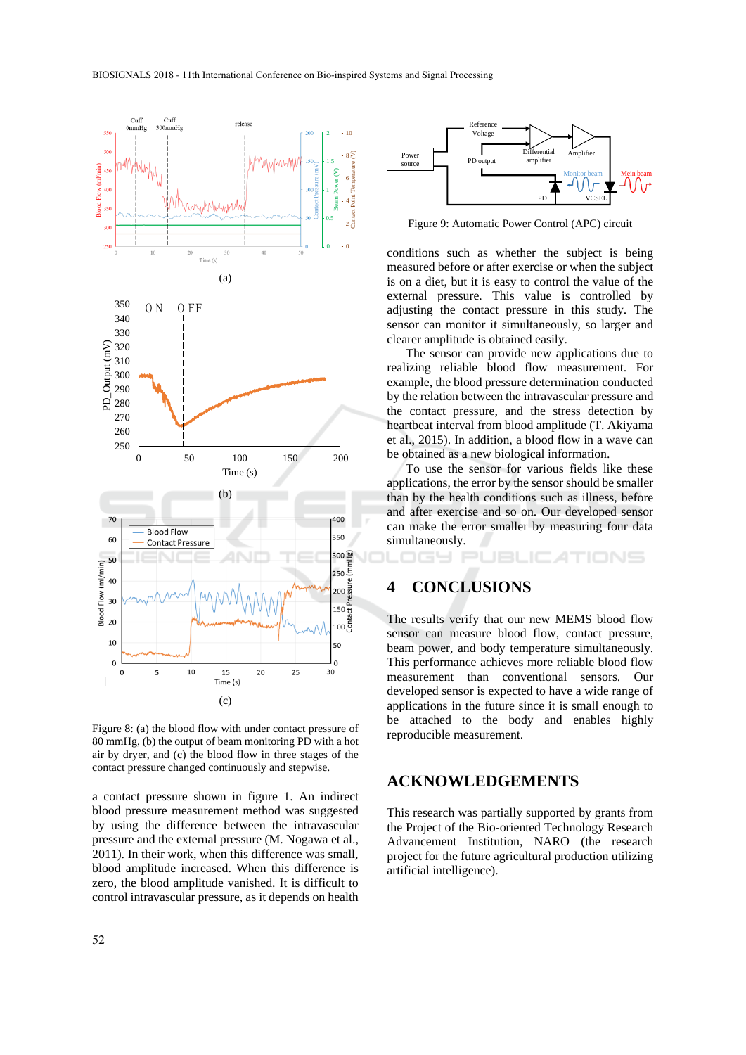

Figure 8: (a) the blood flow with under contact pressure of 80 mmHg, (b) the output of beam monitoring PD with a hot air by dryer, and (c) the blood flow in three stages of the contact pressure changed continuously and stepwise.

a contact pressure shown in figure 1. An indirect blood pressure measurement method was suggested by using the difference between the intravascular pressure and the external pressure (M. Nogawa et al., 2011). In their work, when this difference was small, blood amplitude increased. When this difference is zero, the blood amplitude vanished. It is difficult to control intravascular pressure, as it depends on health





Figure 9: Automatic Power Control (APC) circuit

conditions such as whether the subject is being measured before or after exercise or when the subject is on a diet, but it is easy to control the value of the external pressure. This value is controlled by adjusting the contact pressure in this study. The sensor can monitor it simultaneously, so larger and clearer amplitude is obtained easily.

The sensor can provide new applications due to realizing reliable blood flow measurement. For example, the blood pressure determination conducted by the relation between the intravascular pressure and the contact pressure, and the stress detection by heartbeat interval from blood amplitude (T. Akiyama et al., 2015). In addition, a blood flow in a wave can be obtained as a new biological information.

To use the sensor for various fields like these applications, the error by the sensor should be smaller than by the health conditions such as illness, before and after exercise and so on. Our developed sensor can make the error smaller by measuring four data simultaneously.

TIONS

### **4 CONCLUSIONS**

GY PUBLIC

The results verify that our new MEMS blood flow sensor can measure blood flow, contact pressure, beam power, and body temperature simultaneously. This performance achieves more reliable blood flow measurement than conventional sensors. Our developed sensor is expected to have a wide range of applications in the future since it is small enough to be attached to the body and enables highly reproducible measurement.

#### **ACKNOWLEDGEMENTS**

This research was partially supported by grants from the Project of the Bio-oriented Technology Research Advancement Institution, NARO (the research project for the future agricultural production utilizing artificial intelligence).